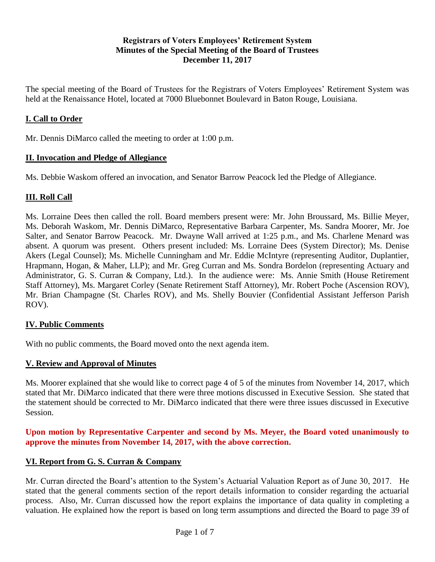### **Registrars of Voters Employees' Retirement System Minutes of the Special Meeting of the Board of Trustees December 11, 2017**

The special meeting of the Board of Trustees for the Registrars of Voters Employees' Retirement System was held at the Renaissance Hotel, located at 7000 Bluebonnet Boulevard in Baton Rouge, Louisiana.

## **I. Call to Order**

Mr. Dennis DiMarco called the meeting to order at 1:00 p.m.

#### **II. Invocation and Pledge of Allegiance**

Ms. Debbie Waskom offered an invocation, and Senator Barrow Peacock led the Pledge of Allegiance.

#### **III. Roll Call**

Ms. Lorraine Dees then called the roll. Board members present were: Mr. John Broussard, Ms. Billie Meyer, Ms. Deborah Waskom, Mr. Dennis DiMarco, Representative Barbara Carpenter, Ms. Sandra Moorer, Mr. Joe Salter, and Senator Barrow Peacock. Mr. Dwayne Wall arrived at 1:25 p.m., and Ms. Charlene Menard was absent. A quorum was present. Others present included: Ms. Lorraine Dees (System Director); Ms. Denise Akers (Legal Counsel); Ms. Michelle Cunningham and Mr. Eddie McIntyre (representing Auditor, Duplantier, Hrapmann, Hogan, & Maher, LLP); and Mr. Greg Curran and Ms. Sondra Bordelon (representing Actuary and Administrator, G. S. Curran & Company, Ltd.). In the audience were: Ms. Annie Smith (House Retirement Staff Attorney), Ms. Margaret Corley (Senate Retirement Staff Attorney), Mr. Robert Poche (Ascension ROV), Mr. Brian Champagne (St. Charles ROV), and Ms. Shelly Bouvier (Confidential Assistant Jefferson Parish ROV).

#### **IV. Public Comments**

With no public comments, the Board moved onto the next agenda item.

#### **V. Review and Approval of Minutes**

Ms. Moorer explained that she would like to correct page 4 of 5 of the minutes from November 14, 2017, which stated that Mr. DiMarco indicated that there were three motions discussed in Executive Session. She stated that the statement should be corrected to Mr. DiMarco indicated that there were three issues discussed in Executive Session.

#### **Upon motion by Representative Carpenter and second by Ms. Meyer, the Board voted unanimously to approve the minutes from November 14, 2017, with the above correction.**

#### **VI. Report from G. S. Curran & Company**

Mr. Curran directed the Board's attention to the System's Actuarial Valuation Report as of June 30, 2017. He stated that the general comments section of the report details information to consider regarding the actuarial process. Also, Mr. Curran discussed how the report explains the importance of data quality in completing a valuation. He explained how the report is based on long term assumptions and directed the Board to page 39 of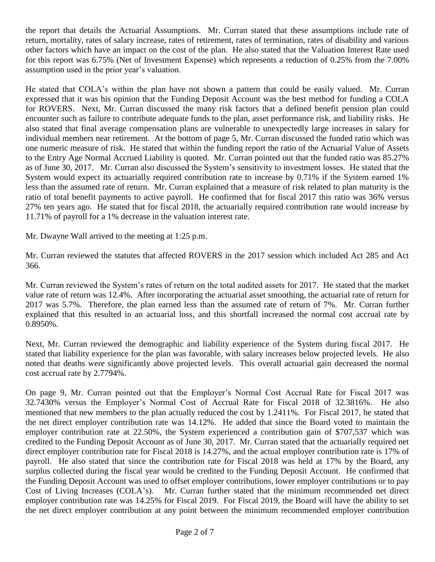the report that details the Actuarial Assumptions. Mr. Curran stated that these assumptions include rate of return, mortality, rates of salary increase, rates of retirement, rates of termination, rates of disability and various other factors which have an impact on the cost of the plan. He also stated that the Valuation Interest Rate used for this report was 6.75% (Net of Investment Expense) which represents a reduction of 0.25% from the 7.00% assumption used in the prior year's valuation.

He stated that COLA's within the plan have not shown a pattern that could be easily valued. Mr. Curran expressed that it was his opinion that the Funding Deposit Account was the best method for funding a COLA for ROVERS. Next, Mr. Curran discussed the many risk factors that a defined benefit pension plan could encounter such as failure to contribute adequate funds to the plan, asset performance risk, and liability risks. He also stated that final average compensation plans are vulnerable to unexpectedly large increases in salary for individual members near retirement. At the bottom of page 5, Mr. Curran discussed the funded ratio which was one numeric measure of risk. He stated that within the funding report the ratio of the Actuarial Value of Assets to the Entry Age Normal Accrued Liability is quoted. Mr. Curran pointed out that the funded ratio was 85.27% as of June 30, 2017. Mr. Curran also discussed the System's sensitivity to investment losses. He stated that the System would expect its actuarially required contribution rate to increase by 0.71% if the System earned 1% less than the assumed rate of return. Mr. Curran explained that a measure of risk related to plan maturity is the ratio of total benefit payments to active payroll. He confirmed that for fiscal 2017 this ratio was 36% versus 27% ten years ago. He stated that for fiscal 2018, the actuarially required contribution rate would increase by 11.71% of payroll for a 1% decrease in the valuation interest rate.

Mr. Dwayne Wall arrived to the meeting at 1:25 p.m.

Mr. Curran reviewed the statutes that affected ROVERS in the 2017 session which included Act 285 and Act 366.

Mr. Curran reviewed the System's rates of return on the total audited assets for 2017. He stated that the market value rate of return was 12.4%. After incorporating the actuarial asset smoothing, the actuarial rate of return for 2017 was 5.7%. Therefore, the plan earned less than the assumed rate of return of 7%. Mr. Curran further explained that this resulted in an actuarial loss, and this shortfall increased the normal cost accrual rate by 0.8950%.

Next, Mr. Curran reviewed the demographic and liability experience of the System during fiscal 2017. He stated that liability experience for the plan was favorable, with salary increases below projected levels. He also noted that deaths were significantly above projected levels. This overall actuarial gain decreased the normal cost accrual rate by 2.7794%.

On page 9, Mr. Curran pointed out that the Employer's Normal Cost Accrual Rate for Fiscal 2017 was 32.7430% versus the Employer's Normal Cost of Accrual Rate for Fiscal 2018 of 32.3816%. He also mentioned that new members to the plan actually reduced the cost by 1.2411%. For Fiscal 2017, he stated that the net direct employer contribution rate was 14.12%. He added that since the Board voted to maintain the employer contribution rate at 22.50%, the System experienced a contribution gain of \$707,537 which was credited to the Funding Deposit Account as of June 30, 2017. Mr. Curran stated that the actuarially required net direct employer contribution rate for Fiscal 2018 is 14.27%, and the actual employer contribution rate is 17% of payroll. He also stated that since the contribution rate for Fiscal 2018 was held at 17% by the Board, any surplus collected during the fiscal year would be credited to the Funding Deposit Account. He confirmed that the Funding Deposit Account was used to offset employer contributions, lower employer contributions or to pay Cost of Living Increases (COLA's). Mr. Curran further stated that the minimum recommended net direct employer contribution rate was 14.25% for Fiscal 2019. For Fiscal 2019, the Board will have the ability to set the net direct employer contribution at any point between the minimum recommended employer contribution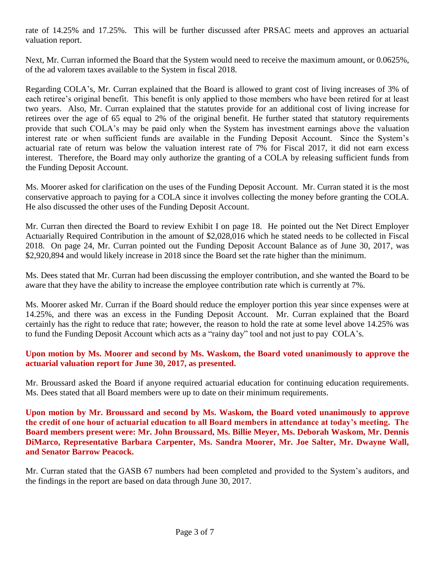rate of 14.25% and 17.25%. This will be further discussed after PRSAC meets and approves an actuarial valuation report.

Next, Mr. Curran informed the Board that the System would need to receive the maximum amount, or 0.0625%, of the ad valorem taxes available to the System in fiscal 2018.

Regarding COLA's, Mr. Curran explained that the Board is allowed to grant cost of living increases of 3% of each retiree's original benefit. This benefit is only applied to those members who have been retired for at least two years. Also, Mr. Curran explained that the statutes provide for an additional cost of living increase for retirees over the age of 65 equal to 2% of the original benefit. He further stated that statutory requirements provide that such COLA's may be paid only when the System has investment earnings above the valuation interest rate or when sufficient funds are available in the Funding Deposit Account. Since the System's actuarial rate of return was below the valuation interest rate of 7% for Fiscal 2017, it did not earn excess interest. Therefore, the Board may only authorize the granting of a COLA by releasing sufficient funds from the Funding Deposit Account.

Ms. Moorer asked for clarification on the uses of the Funding Deposit Account. Mr. Curran stated it is the most conservative approach to paying for a COLA since it involves collecting the money before granting the COLA. He also discussed the other uses of the Funding Deposit Account.

Mr. Curran then directed the Board to review Exhibit I on page 18. He pointed out the Net Direct Employer Actuarially Required Contribution in the amount of \$2,028,016 which he stated needs to be collected in Fiscal 2018. On page 24, Mr. Curran pointed out the Funding Deposit Account Balance as of June 30, 2017, was \$2,920,894 and would likely increase in 2018 since the Board set the rate higher than the minimum.

Ms. Dees stated that Mr. Curran had been discussing the employer contribution, and she wanted the Board to be aware that they have the ability to increase the employee contribution rate which is currently at 7%.

Ms. Moorer asked Mr. Curran if the Board should reduce the employer portion this year since expenses were at 14.25%, and there was an excess in the Funding Deposit Account. Mr. Curran explained that the Board certainly has the right to reduce that rate; however, the reason to hold the rate at some level above 14.25% was to fund the Funding Deposit Account which acts as a "rainy day" tool and not just to pay COLA's.

#### **Upon motion by Ms. Moorer and second by Ms. Waskom, the Board voted unanimously to approve the actuarial valuation report for June 30, 2017, as presented.**

Mr. Broussard asked the Board if anyone required actuarial education for continuing education requirements. Ms. Dees stated that all Board members were up to date on their minimum requirements.

**Upon motion by Mr. Broussard and second by Ms. Waskom, the Board voted unanimously to approve the credit of one hour of actuarial education to all Board members in attendance at today's meeting. The Board members present were: Mr. John Broussard, Ms. Billie Meyer, Ms. Deborah Waskom, Mr. Dennis DiMarco, Representative Barbara Carpenter, Ms. Sandra Moorer, Mr. Joe Salter, Mr. Dwayne Wall, and Senator Barrow Peacock.** 

Mr. Curran stated that the GASB 67 numbers had been completed and provided to the System's auditors, and the findings in the report are based on data through June 30, 2017.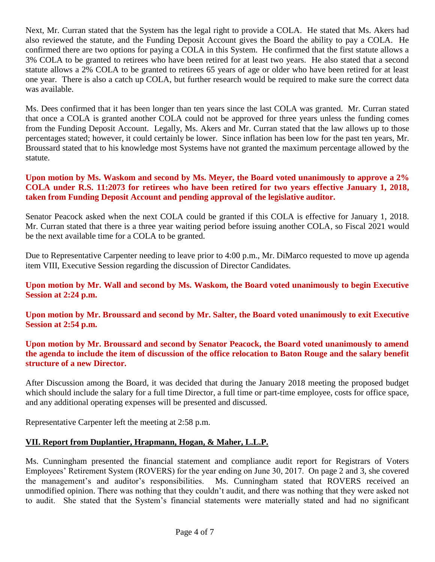Next, Mr. Curran stated that the System has the legal right to provide a COLA. He stated that Ms. Akers had also reviewed the statute, and the Funding Deposit Account gives the Board the ability to pay a COLA. He confirmed there are two options for paying a COLA in this System. He confirmed that the first statute allows a 3% COLA to be granted to retirees who have been retired for at least two years. He also stated that a second statute allows a 2% COLA to be granted to retirees 65 years of age or older who have been retired for at least one year. There is also a catch up COLA, but further research would be required to make sure the correct data was available.

Ms. Dees confirmed that it has been longer than ten years since the last COLA was granted. Mr. Curran stated that once a COLA is granted another COLA could not be approved for three years unless the funding comes from the Funding Deposit Account. Legally, Ms. Akers and Mr. Curran stated that the law allows up to those percentages stated; however, it could certainly be lower. Since inflation has been low for the past ten years, Mr. Broussard stated that to his knowledge most Systems have not granted the maximum percentage allowed by the statute.

#### **Upon motion by Ms. Waskom and second by Ms. Meyer, the Board voted unanimously to approve a 2% COLA under R.S. 11:2073 for retirees who have been retired for two years effective January 1, 2018, taken from Funding Deposit Account and pending approval of the legislative auditor.**

Senator Peacock asked when the next COLA could be granted if this COLA is effective for January 1, 2018. Mr. Curran stated that there is a three year waiting period before issuing another COLA, so Fiscal 2021 would be the next available time for a COLA to be granted.

Due to Representative Carpenter needing to leave prior to 4:00 p.m., Mr. DiMarco requested to move up agenda item VIII, Executive Session regarding the discussion of Director Candidates.

#### **Upon motion by Mr. Wall and second by Ms. Waskom, the Board voted unanimously to begin Executive Session at 2:24 p.m.**

**Upon motion by Mr. Broussard and second by Mr. Salter, the Board voted unanimously to exit Executive Session at 2:54 p.m.**

#### **Upon motion by Mr. Broussard and second by Senator Peacock, the Board voted unanimously to amend the agenda to include the item of discussion of the office relocation to Baton Rouge and the salary benefit structure of a new Director.**

After Discussion among the Board, it was decided that during the January 2018 meeting the proposed budget which should include the salary for a full time Director, a full time or part-time employee, costs for office space, and any additional operating expenses will be presented and discussed.

Representative Carpenter left the meeting at 2:58 p.m.

# **VII. Report from Duplantier, Hrapmann, Hogan, & Maher, L.L.P.**

Ms. Cunningham presented the financial statement and compliance audit report for Registrars of Voters Employees' Retirement System (ROVERS) for the year ending on June 30, 2017. On page 2 and 3, she covered the management's and auditor's responsibilities. Ms. Cunningham stated that ROVERS received an unmodified opinion. There was nothing that they couldn't audit, and there was nothing that they were asked not to audit. She stated that the System's financial statements were materially stated and had no significant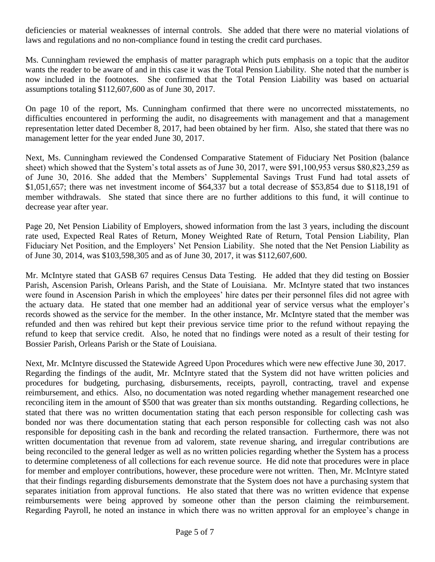deficiencies or material weaknesses of internal controls. She added that there were no material violations of laws and regulations and no non-compliance found in testing the credit card purchases.

Ms. Cunningham reviewed the emphasis of matter paragraph which puts emphasis on a topic that the auditor wants the reader to be aware of and in this case it was the Total Pension Liability. She noted that the number is now included in the footnotes. She confirmed that the Total Pension Liability was based on actuarial assumptions totaling \$112,607,600 as of June 30, 2017.

On page 10 of the report, Ms. Cunningham confirmed that there were no uncorrected misstatements, no difficulties encountered in performing the audit, no disagreements with management and that a management representation letter dated December 8, 2017, had been obtained by her firm. Also, she stated that there was no management letter for the year ended June 30, 2017.

Next, Ms. Cunningham reviewed the Condensed Comparative Statement of Fiduciary Net Position (balance sheet) which showed that the System's total assets as of June 30, 2017, were \$91,100,953 versus \$80,823,259 as of June 30, 2016. She added that the Members' Supplemental Savings Trust Fund had total assets of \$1,051,657; there was net investment income of \$64,337 but a total decrease of \$53,854 due to \$118,191 of member withdrawals. She stated that since there are no further additions to this fund, it will continue to decrease year after year.

Page 20, Net Pension Liability of Employers, showed information from the last 3 years, including the discount rate used, Expected Real Rates of Return, Money Weighted Rate of Return, Total Pension Liability, Plan Fiduciary Net Position, and the Employers' Net Pension Liability. She noted that the Net Pension Liability as of June 30, 2014, was \$103,598,305 and as of June 30, 2017, it was \$112,607,600.

Mr. McIntyre stated that GASB 67 requires Census Data Testing. He added that they did testing on Bossier Parish, Ascension Parish, Orleans Parish, and the State of Louisiana. Mr. McIntyre stated that two instances were found in Ascension Parish in which the employees' hire dates per their personnel files did not agree with the actuary data. He stated that one member had an additional year of service versus what the employer's records showed as the service for the member. In the other instance, Mr. McIntyre stated that the member was refunded and then was rehired but kept their previous service time prior to the refund without repaying the refund to keep that service credit. Also, he noted that no findings were noted as a result of their testing for Bossier Parish, Orleans Parish or the State of Louisiana.

Next, Mr. McIntyre discussed the Statewide Agreed Upon Procedures which were new effective June 30, 2017. Regarding the findings of the audit, Mr. McIntyre stated that the System did not have written policies and procedures for budgeting, purchasing, disbursements, receipts, payroll, contracting, travel and expense reimbursement, and ethics. Also, no documentation was noted regarding whether management researched one reconciling item in the amount of \$500 that was greater than six months outstanding. Regarding collections, he stated that there was no written documentation stating that each person responsible for collecting cash was bonded nor was there documentation stating that each person responsible for collecting cash was not also responsible for depositing cash in the bank and recording the related transaction. Furthermore, there was not written documentation that revenue from ad valorem, state revenue sharing, and irregular contributions are being reconciled to the general ledger as well as no written policies regarding whether the System has a process to determine completeness of all collections for each revenue source. He did note that procedures were in place for member and employer contributions, however, these procedure were not written. Then, Mr. McIntyre stated that their findings regarding disbursements demonstrate that the System does not have a purchasing system that separates initiation from approval functions. He also stated that there was no written evidence that expense reimbursements were being approved by someone other than the person claiming the reimbursement. Regarding Payroll, he noted an instance in which there was no written approval for an employee's change in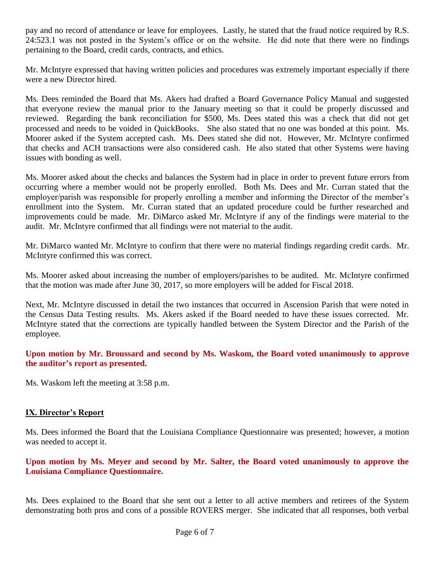pay and no record of attendance or leave for employees. Lastly, he stated that the fraud notice required by R.S. 24:523.1 was not posted in the System's office or on the website. He did note that there were no findings pertaining to the Board, credit cards, contracts, and ethics.

Mr. McIntyre expressed that having written policies and procedures was extremely important especially if there were a new Director hired.

Ms. Dees reminded the Board that Ms. Akers had drafted a Board Governance Policy Manual and suggested that everyone review the manual prior to the January meeting so that it could be properly discussed and reviewed. Regarding the bank reconciliation for \$500, Ms. Dees stated this was a check that did not get processed and needs to be voided in QuickBooks. She also stated that no one was bonded at this point. Ms. Moorer asked if the System accepted cash. Ms. Dees stated she did not. However, Mr. McIntyre confirmed that checks and ACH transactions were also considered cash. He also stated that other Systems were having issues with bonding as well.

Ms. Moorer asked about the checks and balances the System had in place in order to prevent future errors from occurring where a member would not be properly enrolled. Both Ms. Dees and Mr. Curran stated that the employer/parish was responsible for properly enrolling a member and informing the Director of the member's enrollment into the System. Mr. Curran stated that an updated procedure could be further researched and improvements could be made. Mr. DiMarco asked Mr. McIntyre if any of the findings were material to the audit. Mr. McIntyre confirmed that all findings were not material to the audit.

Mr. DiMarco wanted Mr. McIntyre to confirm that there were no material findings regarding credit cards. Mr. McIntyre confirmed this was correct.

Ms. Moorer asked about increasing the number of employers/parishes to be audited. Mr. McIntyre confirmed that the motion was made after June 30, 2017, so more employers will be added for Fiscal 2018.

Next, Mr. McIntyre discussed in detail the two instances that occurred in Ascension Parish that were noted in the Census Data Testing results. Ms. Akers asked if the Board needed to have these issues corrected. Mr. McIntyre stated that the corrections are typically handled between the System Director and the Parish of the employee.

#### **Upon motion by Mr. Broussard and second by Ms. Waskom, the Board voted unanimously to approve the auditor's report as presented.**

Ms. Waskom left the meeting at 3:58 p.m.

#### **IX. Director's Report**

Ms. Dees informed the Board that the Louisiana Compliance Questionnaire was presented; however, a motion was needed to accept it.

#### **Upon motion by Ms. Meyer and second by Mr. Salter, the Board voted unanimously to approve the Louisiana Compliance Questionnaire.**

Ms. Dees explained to the Board that she sent out a letter to all active members and retirees of the System demonstrating both pros and cons of a possible ROVERS merger. She indicated that all responses, both verbal